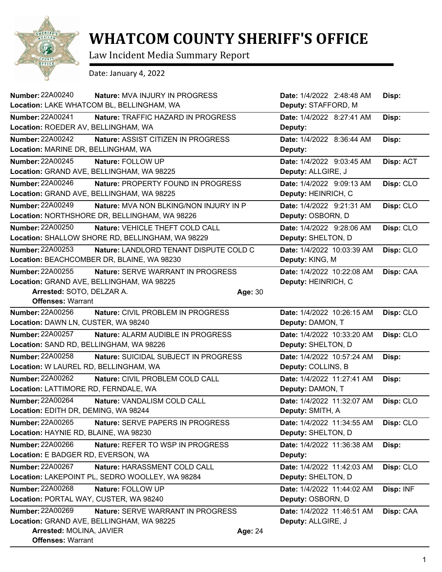

## **WHATCOM COUNTY SHERIFF'S OFFICE**

Law Incident Media Summary Report

Date: January 4, 2022

| <b>Number: 22A00240</b><br>Nature: MVA INJURY IN PROGRESS                | Date: 1/4/2022 2:48:48 AM<br>Disp:      |
|--------------------------------------------------------------------------|-----------------------------------------|
| Location: LAKE WHATCOM BL, BELLINGHAM, WA                                | Deputy: STAFFORD, M                     |
| Number: 22A00241<br>Nature: TRAFFIC HAZARD IN PROGRESS                   | Date: 1/4/2022 8:27:41 AM<br>Disp:      |
| Location: ROEDER AV, BELLINGHAM, WA                                      | Deputy:                                 |
| <b>Number: 22A00242</b><br>Nature: ASSIST CITIZEN IN PROGRESS            | Date: 1/4/2022 8:36:44 AM<br>Disp:      |
| Location: MARINE DR, BELLINGHAM, WA                                      | Deputy:                                 |
| <b>Number: 22A00245</b><br>Nature: FOLLOW UP                             | Date: 1/4/2022 9:03:45 AM<br>Disp: ACT  |
| Location: GRAND AVE, BELLINGHAM, WA 98225                                | Deputy: ALLGIRE, J                      |
| <b>Number: 22A00246</b><br>Nature: PROPERTY FOUND IN PROGRESS            | Date: 1/4/2022 9:09:13 AM<br>Disp: CLO  |
| Location: GRAND AVE, BELLINGHAM, WA 98225                                | Deputy: HEINRICH, C                     |
| <b>Number: 22A00249</b><br><b>Nature: MVA NON BLKING/NON INJURY IN P</b> | Date: 1/4/2022 9:21:31 AM<br>Disp: CLO  |
| Location: NORTHSHORE DR, BELLINGHAM, WA 98226                            | Deputy: OSBORN, D                       |
| <b>Number: 22A00250</b><br>Nature: VEHICLE THEFT COLD CALL               | Date: 1/4/2022 9:28:06 AM<br>Disp: CLO  |
| Location: SHALLOW SHORE RD, BELLINGHAM, WA 98229                         | Deputy: SHELTON, D                      |
| <b>Number: 22A00253</b><br>Nature: LANDLORD TENANT DISPUTE COLD C        | Date: 1/4/2022 10:03:39 AM<br>Disp: CLO |
| Location: BEACHCOMBER DR, BLAINE, WA 98230                               | Deputy: KING, M                         |
| <b>Number: 22A00255</b><br><b>Nature: SERVE WARRANT IN PROGRESS</b>      | Date: 1/4/2022 10:22:08 AM<br>Disp: CAA |
| Location: GRAND AVE, BELLINGHAM, WA 98225                                | Deputy: HEINRICH, C                     |
| Arrested: SOTO, DELZAR A.                                                | Age: 30                                 |
| <b>Offenses: Warrant</b>                                                 |                                         |
| <b>Number: 22A00256</b><br>Nature: CIVIL PROBLEM IN PROGRESS             | Date: 1/4/2022 10:26:15 AM<br>Disp: CLO |
| Location: DAWN LN, CUSTER, WA 98240                                      | Deputy: DAMON, T                        |
| Number: 22A00257<br>Nature: ALARM AUDIBLE IN PROGRESS                    | Date: 1/4/2022 10:33:20 AM<br>Disp: CLO |
| Location: SAND RD, BELLINGHAM, WA 98226                                  | Deputy: SHELTON, D                      |
| <b>Number: 22A00258</b><br>Nature: SUICIDAL SUBJECT IN PROGRESS          | Date: 1/4/2022 10:57:24 AM<br>Disp:     |
| Location: W LAUREL RD, BELLINGHAM, WA                                    | Deputy: COLLINS, B                      |
| Number: 22A00262<br>Nature: CIVIL PROBLEM COLD CALL                      | Date: 1/4/2022 11:27:41 AM<br>Disp:     |
| Location: LATTIMORE RD, FERNDALE, WA                                     | Deputy: DAMON, T                        |
| Number: 22A00264<br>Nature: VANDALISM COLD CALL                          | Date: 1/4/2022 11:32:07 AM<br>Disp: CLO |
| Location: EDITH DR, DEMING, WA 98244                                     | Deputy: SMITH, A                        |
| Number: 22A00265<br>Nature: SERVE PAPERS IN PROGRESS                     | Disp: CLO<br>Date: 1/4/2022 11:34:55 AM |
| Location: HAYNIE RD, BLAINE, WA 98230                                    | Deputy: SHELTON, D                      |
| <b>Number: 22A00266</b><br>Nature: REFER TO WSP IN PROGRESS              | Date: 1/4/2022 11:36:38 AM<br>Disp:     |
| Location: E BADGER RD, EVERSON, WA                                       | Deputy:                                 |
| Number: 22A00267<br>Nature: HARASSMENT COLD CALL                         | Disp: CLO<br>Date: 1/4/2022 11:42:03 AM |
| Location: LAKEPOINT PL, SEDRO WOOLLEY, WA 98284                          | Deputy: SHELTON, D                      |
| Number: 22A00268<br>Nature: FOLLOW UP                                    | Disp: INF<br>Date: 1/4/2022 11:44:02 AM |
| Location: PORTAL WAY, CUSTER, WA 98240                                   | Deputy: OSBORN, D                       |
| Number: 22A00269<br><b>Nature: SERVE WARRANT IN PROGRESS</b>             | Date: 1/4/2022 11:46:51 AM<br>Disp: CAA |
| Location: GRAND AVE, BELLINGHAM, WA 98225                                | Deputy: ALLGIRE, J                      |
| Arrested: MOLINA, JAVIER                                                 | <b>Age: 24</b>                          |
| <b>Offenses: Warrant</b>                                                 |                                         |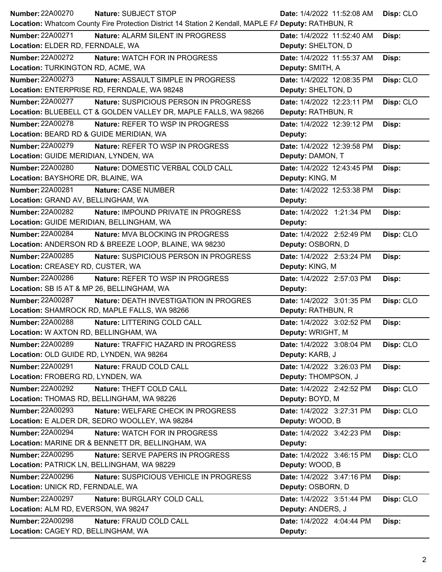| <b>Number: 22A00270</b><br>Nature: SUBJECT STOP                                                     | Date: 1/4/2022 11:52:08 AM | Disp: CLO |
|-----------------------------------------------------------------------------------------------------|----------------------------|-----------|
| Location: Whatcom County Fire Protection District 14 Station 2 Kendall, MAPLE FA Deputy: RATHBUN, R |                            |           |
| Number: 22A00271<br>Nature: ALARM SILENT IN PROGRESS                                                | Date: 1/4/2022 11:52:40 AM | Disp:     |
| Location: ELDER RD, FERNDALE, WA                                                                    | Deputy: SHELTON, D         |           |
| <b>Number: 22A00272</b><br>Nature: WATCH FOR IN PROGRESS                                            | Date: 1/4/2022 11:55:37 AM | Disp:     |
| Location: TURKINGTON RD, ACME, WA                                                                   | Deputy: SMITH, A           |           |
| <b>Number: 22A00273</b><br><b>Nature: ASSAULT SIMPLE IN PROGRESS</b>                                | Date: 1/4/2022 12:08:35 PM | Disp: CLO |
| Location: ENTERPRISE RD, FERNDALE, WA 98248                                                         | Deputy: SHELTON, D         |           |
| <b>Number: 22A00277</b><br>Nature: SUSPICIOUS PERSON IN PROGRESS                                    | Date: 1/4/2022 12:23:11 PM | Disp: CLO |
| Location: BLUEBELL CT & GOLDEN VALLEY DR, MAPLE FALLS, WA 98266                                     | Deputy: RATHBUN, R         |           |
| <b>Number: 22A00278</b><br><b>Nature: REFER TO WSP IN PROGRESS</b>                                  | Date: 1/4/2022 12:39:12 PM | Disp:     |
| Location: BEARD RD & GUIDE MERIDIAN, WA                                                             | Deputy:                    |           |
| <b>Number: 22A00279</b><br>Nature: REFER TO WSP IN PROGRESS                                         | Date: 1/4/2022 12:39:58 PM | Disp:     |
| Location: GUIDE MERIDIAN, LYNDEN, WA                                                                | Deputy: DAMON, T           |           |
| <b>Number: 22A00280</b><br>Nature: DOMESTIC VERBAL COLD CALL                                        | Date: 1/4/2022 12:43:45 PM | Disp:     |
| Location: BAYSHORE DR, BLAINE, WA                                                                   | Deputy: KING, M            |           |
| Number: 22A00281<br>Nature: CASE NUMBER                                                             | Date: 1/4/2022 12:53:38 PM |           |
| Location: GRAND AV, BELLINGHAM, WA                                                                  | Deputy:                    | Disp:     |
| Number: 22A00282                                                                                    |                            |           |
| Nature: IMPOUND PRIVATE IN PROGRESS<br>Location: GUIDE MERIDIAN, BELLINGHAM, WA                     | Date: 1/4/2022 1:21:34 PM  | Disp:     |
|                                                                                                     | Deputy:                    |           |
| Number: 22A00284<br>Nature: MVA BLOCKING IN PROGRESS                                                | Date: 1/4/2022 2:52:49 PM  | Disp: CLO |
| Location: ANDERSON RD & BREEZE LOOP, BLAINE, WA 98230                                               | Deputy: OSBORN, D          |           |
| Number: 22A00285<br>Nature: SUSPICIOUS PERSON IN PROGRESS                                           | Date: 1/4/2022 2:53:24 PM  | Disp:     |
| Location: CREASEY RD, CUSTER, WA                                                                    | Deputy: KING, M            |           |
| Number: 22A00286<br>Nature: REFER TO WSP IN PROGRESS                                                | Date: 1/4/2022 2:57:03 PM  | Disp:     |
| Location: SB I5 AT & MP 26, BELLINGHAM, WA                                                          | Deputy:                    |           |
| Number: 22A00287<br>Nature: DEATH INVESTIGATION IN PROGRES                                          | Date: 1/4/2022 3:01:35 PM  | Disp: CLO |
| Location: SHAMROCK RD, MAPLE FALLS, WA 98266                                                        | Deputy: RATHBUN, R         |           |
| Number: 22A00288<br>Nature: LITTERING COLD CALL                                                     | Date: 1/4/2022 3:02:52 PM  | Disp:     |
| <b>Location: W AXTON RD, BELLINGHAM, WA</b>                                                         | Deputy: WRIGHT, M          |           |
| <b>Number: 22A00289</b><br>Nature: TRAFFIC HAZARD IN PROGRESS                                       | Date: 1/4/2022 3:08:04 PM  | Disp: CLO |
| Location: OLD GUIDE RD, LYNDEN, WA 98264                                                            | Deputy: KARB, J            |           |
| <b>Number: 22A00291</b><br>Nature: FRAUD COLD CALL                                                  | Date: 1/4/2022 3:26:03 PM  | Disp:     |
| Location: FROBERG RD, LYNDEN, WA                                                                    | Deputy: THOMPSON, J        |           |
| <b>Number: 22A00292</b><br>Nature: THEFT COLD CALL                                                  | Date: 1/4/2022 2:42:52 PM  | Disp: CLO |
| Location: THOMAS RD, BELLINGHAM, WA 98226                                                           | Deputy: BOYD, M            |           |
| <b>Number: 22A00293</b><br>Nature: WELFARE CHECK IN PROGRESS                                        | Date: 1/4/2022 3:27:31 PM  | Disp: CLO |
| Location: E ALDER DR, SEDRO WOOLLEY, WA 98284                                                       | Deputy: WOOD, B            |           |
| <b>Number: 22A00294</b><br>Nature: WATCH FOR IN PROGRESS                                            | Date: 1/4/2022 3:42:23 PM  | Disp:     |
| Location: MARINE DR & BENNETT DR, BELLINGHAM, WA                                                    | Deputy:                    |           |
| Number: 22A00295<br>Nature: SERVE PAPERS IN PROGRESS                                                | Date: 1/4/2022 3:46:15 PM  | Disp: CLO |
| Location: PATRICK LN, BELLINGHAM, WA 98229                                                          | Deputy: WOOD, B            |           |
| Number: 22A00296<br>Nature: SUSPICIOUS VEHICLE IN PROGRESS                                          | Date: 1/4/2022 3:47:16 PM  | Disp:     |
| Location: UNICK RD, FERNDALE, WA                                                                    | Deputy: OSBORN, D          |           |
| <b>Number: 22A00297</b><br>Nature: BURGLARY COLD CALL                                               | Date: 1/4/2022 3:51:44 PM  | Disp: CLO |
| Location: ALM RD, EVERSON, WA 98247                                                                 | Deputy: ANDERS, J          |           |
| Number: 22A00298                                                                                    |                            |           |
| Nature: FRAUD COLD CALL<br>Location: CAGEY RD, BELLINGHAM, WA                                       | Date: 1/4/2022 4:04:44 PM  | Disp:     |
|                                                                                                     | Deputy:                    |           |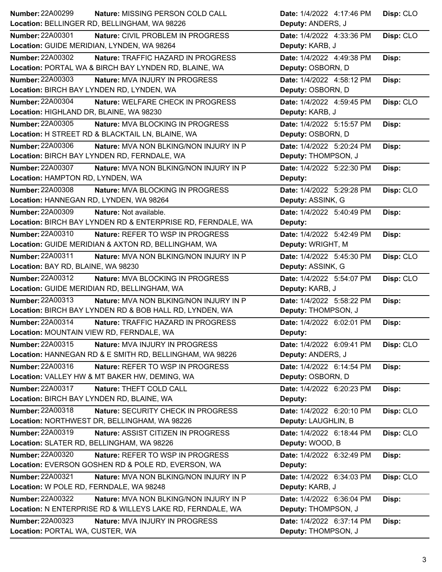| <b>Number: 22A00299</b>                                     | Disp: CLO                 |
|-------------------------------------------------------------|---------------------------|
| Nature: MISSING PERSON COLD CALL                            | Date: 1/4/2022 4:17:46 PM |
| Location: BELLINGER RD, BELLINGHAM, WA 98226                | Deputy: ANDERS, J         |
| <b>Number: 22A00301</b>                                     | Date: 1/4/2022 4:33:36 PM |
| Nature: CIVIL PROBLEM IN PROGRESS                           | Disp: CLO                 |
| Location: GUIDE MERIDIAN, LYNDEN, WA 98264                  | Deputy: KARB, J           |
| <b>Number: 22A00302</b>                                     | Date: 1/4/2022 4:49:38 PM |
| Nature: TRAFFIC HAZARD IN PROGRESS                          | Disp:                     |
| Location: PORTAL WA & BIRCH BAY LYNDEN RD, BLAINE, WA       | Deputy: OSBORN, D         |
| <b>Number: 22A00303</b>                                     | Date: 1/4/2022 4:58:12 PM |
| Nature: MVA INJURY IN PROGRESS                              | Disp:                     |
| Location: BIRCH BAY LYNDEN RD, LYNDEN, WA                   | Deputy: OSBORN, D         |
| <b>Number: 22A00304</b>                                     | Date: 1/4/2022 4:59:45 PM |
| Nature: WELFARE CHECK IN PROGRESS                           | Disp: CLO                 |
| Location: HIGHLAND DR, BLAINE, WA 98230                     | Deputy: KARB, J           |
| Number: 22A00305                                            | Date: 1/4/2022 5:15:57 PM |
| Nature: MVA BLOCKING IN PROGRESS                            | Disp:                     |
| Location: H STREET RD & BLACKTAIL LN, BLAINE, WA            | Deputy: OSBORN, D         |
| <b>Number: 22A00306</b>                                     | Date: 1/4/2022 5:20:24 PM |
| Nature: MVA NON BLKING/NON INJURY IN P                      | Disp:                     |
| Location: BIRCH BAY LYNDEN RD, FERNDALE, WA                 | Deputy: THOMPSON, J       |
| <b>Number: 22A00307</b>                                     | Date: 1/4/2022 5:22:30 PM |
| Nature: MVA NON BLKING/NON INJURY IN P                      | Disp:                     |
| Location: HAMPTON RD, LYNDEN, WA                            | Deputy:                   |
| <b>Number: 22A00308</b>                                     | Date: 1/4/2022 5:29:28 PM |
| Nature: MVA BLOCKING IN PROGRESS                            | Disp: CLO                 |
| Location: HANNEGAN RD, LYNDEN, WA 98264                     | Deputy: ASSINK, G         |
| <b>Number: 22A00309</b>                                     | Date: 1/4/2022 5:40:49 PM |
| Nature: Not available.                                      | Disp:                     |
| Location: BIRCH BAY LYNDEN RD & ENTERPRISE RD, FERNDALE, WA | Deputy:                   |
| <b>Number: 22A00310</b>                                     | Date: 1/4/2022 5:42:49 PM |
| <b>Nature: REFER TO WSP IN PROGRESS</b>                     | Disp:                     |
| Location: GUIDE MERIDIAN & AXTON RD, BELLINGHAM, WA         | Deputy: WRIGHT, M         |
| Number: 22A00311                                            | Date: 1/4/2022 5:45:30 PM |
| Nature: MVA NON BLKING/NON INJURY IN P                      | Disp: CLO                 |
| Location: BAY RD, BLAINE, WA 98230                          | Deputy: ASSINK, G         |
|                                                             |                           |
| Number: 22A00312                                            | Date: 1/4/2022 5:54:07 PM |
| Nature: MVA BLOCKING IN PROGRESS                            | Disp: CLO                 |
| Location: GUIDE MERIDIAN RD, BELLINGHAM, WA                 | Deputy: KARB, J           |
| Number: 22A00313                                            | Date: 1/4/2022 5:58:22 PM |
| Nature: MVA NON BLKING/NON INJURY IN P                      | Disp:                     |
| Location: BIRCH BAY LYNDEN RD & BOB HALL RD, LYNDEN, WA     | Deputy: THOMPSON, J       |
| <b>Number: 22A00314</b>                                     | Date: 1/4/2022 6:02:01 PM |
| Nature: TRAFFIC HAZARD IN PROGRESS                          | Disp:                     |
| Location: MOUNTAIN VIEW RD, FERNDALE, WA                    | Deputy:                   |
| Number: 22A00315                                            | Disp: CLO                 |
| Nature: MVA INJURY IN PROGRESS                              | Date: 1/4/2022 6:09:41 PM |
| Location: HANNEGAN RD & E SMITH RD, BELLINGHAM, WA 98226    | Deputy: ANDERS, J         |
| Number: 22A00316                                            | Date: 1/4/2022 6:14:54 PM |
| Nature: REFER TO WSP IN PROGRESS                            | Disp:                     |
| Location: VALLEY HW & MT BAKER HW, DEMING, WA               | Deputy: OSBORN, D         |
| Number: 22A00317                                            | Date: 1/4/2022 6:20:23 PM |
| Nature: THEFT COLD CALL                                     | Disp:                     |
| Location: BIRCH BAY LYNDEN RD, BLAINE, WA                   | Deputy:                   |
| Number: 22A00318                                            | Date: 1/4/2022 6:20:10 PM |
| Nature: SECURITY CHECK IN PROGRESS                          | Disp: CLO                 |
| Location: NORTHWEST DR, BELLINGHAM, WA 98226                | Deputy: LAUGHLIN, B       |
| Number: 22A00319                                            | Date: 1/4/2022 6:18:44 PM |
| Nature: ASSIST CITIZEN IN PROGRESS                          | Disp: CLO                 |
| Location: SLATER RD, BELLINGHAM, WA 98226                   | Deputy: WOOD, B           |
| <b>Number: 22A00320</b>                                     | Date: 1/4/2022 6:32:49 PM |
| Nature: REFER TO WSP IN PROGRESS                            | Disp:                     |
| Location: EVERSON GOSHEN RD & POLE RD, EVERSON, WA          | Deputy:                   |
| <b>Number: 22A00321</b>                                     | Disp: CLO                 |
| Nature: MVA NON BLKING/NON INJURY IN P                      | Date: 1/4/2022 6:34:03 PM |
| Location: W POLE RD, FERNDALE, WA 98248                     | Deputy: KARB, J           |
| <b>Number: 22A00322</b>                                     | Date: 1/4/2022 6:36:04 PM |
| Nature: MVA NON BLKING/NON INJURY IN P                      | Disp:                     |
| Location: N ENTERPRISE RD & WILLEYS LAKE RD, FERNDALE, WA   | Deputy: THOMPSON, J       |
| <b>Number: 22A00323</b>                                     | Date: 1/4/2022 6:37:14 PM |
| <b>Nature: MVA INJURY IN PROGRESS</b>                       | Disp:                     |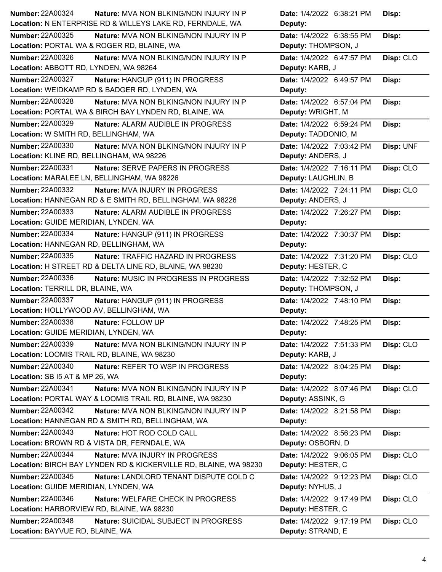| <b>Number: 22A00324</b><br><b>Nature: MVA NON BLKING/NON INJURY IN P</b> | Date: 1/4/2022 6:38:21 PM<br>Disp:     |  |
|--------------------------------------------------------------------------|----------------------------------------|--|
| Location: N ENTERPRISE RD & WILLEYS LAKE RD, FERNDALE, WA                | Deputy:                                |  |
| <b>Number: 22A00325</b><br><b>Nature: MVA NON BLKING/NON INJURY IN P</b> | Date: 1/4/2022 6:38:55 PM<br>Disp:     |  |
| Location: PORTAL WA & ROGER RD, BLAINE, WA                               | Deputy: THOMPSON, J                    |  |
| <b>Number: 22A00326</b><br>Nature: MVA NON BLKING/NON INJURY IN P        | Date: 1/4/2022 6:47:57 PM<br>Disp: CLO |  |
| Location: ABBOTT RD, LYNDEN, WA 98264                                    | Deputy: KARB, J                        |  |
| <b>Number: 22A00327</b><br>Nature: HANGUP (911) IN PROGRESS              | Date: 1/4/2022 6:49:57 PM<br>Disp:     |  |
| Location: WEIDKAMP RD & BADGER RD, LYNDEN, WA                            | Deputy:                                |  |
| <b>Number: 22A00328</b><br>Nature: MVA NON BLKING/NON INJURY IN P        | Date: 1/4/2022 6:57:04 PM<br>Disp:     |  |
| Location: PORTAL WA & BIRCH BAY LYNDEN RD, BLAINE, WA                    | Deputy: WRIGHT, M                      |  |
| <b>Number: 22A00329</b><br>Nature: ALARM AUDIBLE IN PROGRESS             | Date: 1/4/2022 6:59:24 PM<br>Disp:     |  |
| Location: W SMITH RD, BELLINGHAM, WA                                     | Deputy: TADDONIO, M                    |  |
| <b>Number: 22A00330</b><br>Nature: MVA NON BLKING/NON INJURY IN P        | Date: 1/4/2022 7:03:42 PM<br>Disp: UNF |  |
| Location: KLINE RD, BELLINGHAM, WA 98226                                 | Deputy: ANDERS, J                      |  |
| <b>Number: 22A00331</b><br>Nature: SERVE PAPERS IN PROGRESS              | Date: 1/4/2022 7:16:11 PM<br>Disp: CLO |  |
| Location: MARALEE LN, BELLINGHAM, WA 98226                               | Deputy: LAUGHLIN, B                    |  |
| <b>Number: 22A00332</b><br><b>Nature: MVA INJURY IN PROGRESS</b>         | Date: 1/4/2022 7:24:11 PM<br>Disp: CLO |  |
| Location: HANNEGAN RD & E SMITH RD, BELLINGHAM, WA 98226                 | Deputy: ANDERS, J                      |  |
| Number: 22A00333<br>Nature: ALARM AUDIBLE IN PROGRESS                    | Date: 1/4/2022 7:26:27 PM<br>Disp:     |  |
| Location: GUIDE MERIDIAN, LYNDEN, WA                                     | Deputy:                                |  |
| <b>Number: 22A00334</b><br>Nature: HANGUP (911) IN PROGRESS              | Date: 1/4/2022 7:30:37 PM<br>Disp:     |  |
| Location: HANNEGAN RD, BELLINGHAM, WA                                    | Deputy:                                |  |
| Number: 22A00335<br>Nature: TRAFFIC HAZARD IN PROGRESS                   | Disp: CLO<br>Date: 1/4/2022 7:31:20 PM |  |
| Location: H STREET RD & DELTA LINE RD, BLAINE, WA 98230                  | Deputy: HESTER, C                      |  |
|                                                                          |                                        |  |
| Number: 22A00336<br>Nature: MUSIC IN PROGRESS IN PROGRESS                | Date: 1/4/2022 7:32:52 PM<br>Disp:     |  |
| Location: TERRILL DR, BLAINE, WA                                         | Deputy: THOMPSON, J                    |  |
| <b>Number: 22A00337</b><br>Nature: HANGUP (911) IN PROGRESS              | Date: 1/4/2022 7:48:10 PM<br>Disp:     |  |
| Location: HOLLYWOOD AV, BELLINGHAM, WA                                   | Deputy:                                |  |
| Number: 22A00338<br>Nature: FOLLOW UP                                    | Date: 1/4/2022 7:48:25 PM<br>Disp:     |  |
| Location: GUIDE MERIDIAN, LYNDEN, WA                                     | Deputy:                                |  |
| Number: 22A00339<br>Nature: MVA NON BLKING/NON INJURY IN P               | Disp: CLO<br>Date: 1/4/2022 7:51:33 PM |  |
| Location: LOOMIS TRAIL RD, BLAINE, WA 98230                              | Deputy: KARB, J                        |  |
| Number: 22A00340<br>Nature: REFER TO WSP IN PROGRESS                     | Date: 1/4/2022 8:04:25 PM<br>Disp:     |  |
| Location: SB I5 AT & MP 26, WA                                           | Deputy:                                |  |
| Number: 22A00341<br><b>Nature: MVA NON BLKING/NON INJURY IN P</b>        | Disp: CLO<br>Date: 1/4/2022 8:07:46 PM |  |
| Location: PORTAL WAY & LOOMIS TRAIL RD, BLAINE, WA 98230                 | Deputy: ASSINK, G                      |  |
| <b>Number: 22A00342</b><br>Nature: MVA NON BLKING/NON INJURY IN P        | Date: 1/4/2022 8:21:58 PM<br>Disp:     |  |
| Location: HANNEGAN RD & SMITH RD, BELLINGHAM, WA                         | Deputy:                                |  |
| Number: 22A00343<br>Nature: HOT ROD COLD CALL                            | Date: 1/4/2022 8:56:23 PM<br>Disp:     |  |
| Location: BROWN RD & VISTA DR, FERNDALE, WA                              | Deputy: OSBORN, D                      |  |
| <b>Number: 22A00344</b><br><b>Nature: MVA INJURY IN PROGRESS</b>         | Date: 1/4/2022 9:06:05 PM<br>Disp: CLO |  |
| Location: BIRCH BAY LYNDEN RD & KICKERVILLE RD, BLAINE, WA 98230         | Deputy: HESTER, C                      |  |
| <b>Number: 22A00345</b><br>Nature: LANDLORD TENANT DISPUTE COLD C        | Date: 1/4/2022 9:12:23 PM<br>Disp: CLO |  |
| Location: GUIDE MERIDIAN, LYNDEN, WA                                     | Deputy: NYHUS, J                       |  |
| <b>Number: 22A00346</b><br><b>Nature: WELFARE CHECK IN PROGRESS</b>      | Disp: CLO<br>Date: 1/4/2022 9:17:49 PM |  |
| Location: HARBORVIEW RD, BLAINE, WA 98230                                | Deputy: HESTER, C                      |  |
| <b>Number: 22A00348</b><br>Nature: SUICIDAL SUBJECT IN PROGRESS          | Disp: CLO<br>Date: 1/4/2022 9:17:19 PM |  |